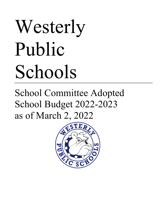# Westerly Public Schools

# School Committee Adopted School Budget 2022-2023 as of March 2, 2022

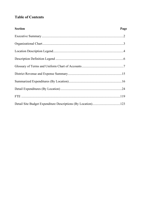#### **Table of Contents**

| <b>Section</b> | Page |
|----------------|------|
|                |      |
|                |      |
|                |      |
|                |      |
|                |      |
|                |      |
|                |      |
|                |      |
|                |      |
|                |      |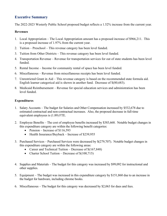#### **Executive Summary**

The 2022-2023 Westerly Public School proposed budget reflects a 1.52% increase from the current year.

#### **Revenues**

- 1. Local Appropriation The Local Appropriation amount has a proposed increase of \$966,211. This is a proposed increase of 1.97% from the current year.
- 2. Tuition Preschool This revenue category has been level funded.
- 3. Tuition from Other Districts This revenue category has been level funded.
- 4. Transportation Revenue Revenue for transportation services for out of state students has been level funded.
- 5. Rental Income Income for community rental of space has been level funded.
- 6. Miscellaneous Revenue from miscellaneous receipts has been level funded.
- 7. Unrestricted Grant in Aid This revenue category is based on the recommended state formula aid. English learner categorical aid is shown in another fund. Decrease of \$(80,683).
- 8. Medicaid Reimbursement Revenue for special education services and administration has been level funded.

#### **Expenditures**

- 1. Salary Accounts The budget for Salaries and Other Compensation increased by \$532,678 due to estimated contractual and non-contractual increases. Also, the proposed decrease in full-time equivalent employees is (1.89) FTE.
- 2. Employee Benefits The cost of employee benefits increased by \$383,668. Notable budget changes in this expenditure category are within the following benefit categories:
	- Pension Increase of  $$116,593$
	- Health Insurance/Buyback Increase of \$239,955
- 3. Purchased Services Purchased Services were decreased by \$(279,707). Notable budget changes in this expenditure category are within the following areas:
	- Career and Technical Tuition Decrease of  $\{(167,848)$
	- Charter School Tuition Decrease of  $$(100,715)$
- 4. Supplies and Materials The budget for this category was increased by \$99,092 for instructional and other supplies.
- 5. Equipment The budget was increased in this expenditure category by \$151,860 due to an increase in the budget for hardware, including chrome books.
- 6. Miscellaneous The budget for this category was decreased by \$2,063 for dues and fees.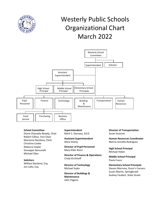

# Westerly Public Schools Organizational Chart March 2022



#### **School Committee**

Diane Chiaradio Bowdy, Chair Robert Cillino, Vice Chair Marianne Nardone, Clerk Christine Cooke Rebecca Fowler Giuseppe Gencarelli Michael Ober

#### **Solicitors**

William Nardone, Esq. Jon Lallo, Esq.

#### **Superintendent** Mark C. Garceau, Ed.D.

**Assistant Superintendent** Alicia Storey

**Director of Pupil Personnel** Mary-Ellen Rossi

**Director of Finance & Operations** Cindy Kirchhoff

**Director of Technology** Michael Sujka

**Director of Buildings & Maintenance** John Pagano

**Director of Transportation** Susan Guarino

**Human Resources Coordinator** Marisa Iannella-Rodriguez

**High School Principal** Michael Hobin

**Middle School Principal** Paula Fusco

**Elementary School Principals** Steven Morrone, Dunn's Corners Susan Martin, Springbrook Audrey Faubert, State Street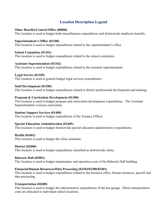#### **Location Description Legend**

#### **Other Benefits/Central Office (00000)**

This location is used to budget both miscellaneous expenditures and districtwide employee benefits.

#### **Superintendent's Office (01100)**

This location is used to budget expenditures related to the superintendent's office.

#### **School Committee (01101)**

This location is used to budget expenditures related to the school committee.

#### **Assistant Superintendent (01102)**

This location is used to budget expenditures related to the assistant superintendent.

#### **Legal Service (01109)**

This location is used to general budget legal services expenditures.

#### **Staff Development (01200)**

This location is used to budget expenditures related to district professional development and training.

#### **Program & Curriculum Development (01300)**

This location is used to budget program and curriculum development expenditures. The Assistant Superintendent oversees curriculum.

#### **Student Support Services (01400)**

This location is used to budget expenditures of the Truancy Officer.

#### **Special Education Administration (01405)**

This location is used to budget districtwide special education administrative expenditures.

#### **Health (01601)**

This location is used to budget the clinic assistants.

#### **District (02000)**

This location is used to budget expenditures classified as districtwide safety.

#### **Babcock Hall (02001)**

This location is used to budget maintenance and operation costs of the Babcock Hall building.

#### **Financial/Human Resources/Data Processing (02104/02300/02401)**

This location is used to budget expenditures related to the business office, human resources, payroll and data processing.

#### **Transportation (02600)**

This location is used to budget the administrative expenditures of the bus garage. Direct transportation costs are allocated to individual school locations.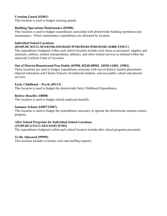#### **Crossing Guard (02601)**

This location is used to budget crossing guards.

#### **Building Operations/Maintenance (02900)**

This location is used to budget expenditures associated with districtwide building operations and maintenance. Direct maintenance expenditures are allocated by location.

#### **Individual School Locations**

#### **(03109-DC/03111-SES/03106-SSS/04103-WMS/05104-WHS/03105, 01800-TSSCC)**

The expenditures budgeted within each school location include such items as personnel, supplies and materials, utilities, student transportation, athletics, and other related services as defined within the statewide Uniform Chart of Accounts.

#### **Out of District/Homebound/Non-Public (03990, 05240-08902, 10520-11803, 15902)**

These locations are used to budget expenditures associate with out-of-district student placements (Special Education and Charter School), homebound students, and non-public school educational services.

#### **Early Childhood – Pre-K (09113)**

This location is used to budget the districtwide Early Childhood Expenditures.

#### **Retiree Benefits (18000)**

This location is used to budget retired employee benefits.

#### **Summer School (24907/25907)**

This location is used to budget the expenditures necessary to operate the districtwide summer school program.

#### **After School Programs for Individual School Locations (33109-DCS/33111-SES/34103-WMS)**

The expenditures budgeted within each school location include after school programs personnel.

#### **To Be Allocated (99999)**

This location includes overtime costs and staffing requests.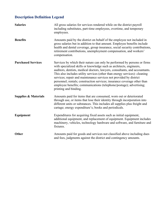### **Description Definition Legend**

| <b>Salaries</b>                 | All gross salaries for services rendered while on the district payroll<br>including substitutes, part-time employees, overtime, and temporary<br>employees.                                                                                                                                                                                                                                                                                                                                                                                                    |
|---------------------------------|----------------------------------------------------------------------------------------------------------------------------------------------------------------------------------------------------------------------------------------------------------------------------------------------------------------------------------------------------------------------------------------------------------------------------------------------------------------------------------------------------------------------------------------------------------------|
| <b>Benefits</b>                 | Amounts paid by the district on behalf of the employee not included in<br>gross salaries but in addition to that amount. Employee benefits include<br>health and dental coverage, group insurance, social security contributions,<br>retirement contributions, unemployment compensation, and workers'<br>compensation.                                                                                                                                                                                                                                        |
| <b>Purchased Services</b>       | Services by which their nature can only be performed by persons or firms<br>with specialized skills or knowledge such as architects, engineers,<br>auditors, dentists, medical doctors, lawyers, consultants, and accountants.<br>This also includes utility services (other than energy services): cleaning<br>services; repair and maintenance services not provided by district<br>personnel; rentals; construction services; insurance coverage other than<br>employee benefits; communications (telephone/postage); advertising;<br>printing and binding. |
| <b>Supplies &amp; Materials</b> | Amounts paid for items that are consumed, worn out or deteriorated<br>through use, or items that lose their identity through incorporation into<br>different units or substances. This includes all supplies plus freight and<br>cartage; energy expenditure's; books and periodicals.                                                                                                                                                                                                                                                                         |
| Equipment                       | Expenditures for acquiring fixed assets such as initial equipment,<br>additional equipment, and replacement of equipment. Equipment includes<br>machinery, vehicles, technology hardware and software, and furniture and<br>fixtures.                                                                                                                                                                                                                                                                                                                          |
| <b>Other</b>                    | Amounts paid for goods and services not classified above including dues<br>and fees, judgments against the district and contingency amounts.                                                                                                                                                                                                                                                                                                                                                                                                                   |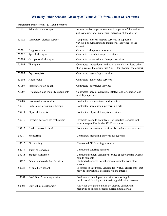## **Westerly Public Schools: Glossary of Terms & Uniform Chart of Accounts**

| <b>Purchased Professional &amp; Tech Services</b> |                                      |                                                                                                                             |
|---------------------------------------------------|--------------------------------------|-----------------------------------------------------------------------------------------------------------------------------|
| 53101                                             | Administrative support               | Administrative support services in support of the various<br>policymaking and managerial activities of the district         |
| 53102                                             | Temporary clerical support           | Temporary clerical support services in support of<br>various policymaking and managerial activities of the<br>district      |
| 53201                                             | Diagnosticians                       | Contracted diagnostic services                                                                                              |
| 53202                                             | Speech therapist                     | Contracted speech therapist services                                                                                        |
| 53203                                             | Occupational therapist               | Contracted occupational therapist services                                                                                  |
| 53204                                             | Therapists                           | Contracted recreational and other therapist services, other<br>than physical therapists (use 53211 for physical therapists) |
| 53205                                             | Psychologists                        | Contracted psychologist services                                                                                            |
| 53206                                             | Audiologist                          | Contracted audiologist services                                                                                             |
| 53207                                             | Interpreters/job coach               | Contracted interpreter services                                                                                             |
| 53208                                             | Orientation and mobility specialists | Contracted special education related, and orientation and<br>mobility specialist                                            |
| 53209                                             | Bus assistants/monitors              | Contracted bus assistants and monitors                                                                                      |
| 53210                                             | Performing arts/music therapy        | Contracted specialists in performing arts                                                                                   |
| 53211                                             | Physical therapist                   | Contracted physical therapists services                                                                                     |
| 53212                                             | Payment for services volunteers      | Payments made to volunteers for specified services not<br>otherwise provided in the 53200 accounts                          |
| 53213                                             | Evaluations-clinical                 | Contracted evaluations services for students and teachers                                                                   |
| 53214                                             | Mentoring                            | Contracted mentoring services for teachers                                                                                  |
| 53215                                             | Ged testing                          | Contracted GED testing services                                                                                             |
| 53216                                             | Tutoring services                    | Contracted tutoring services                                                                                                |
| 53218                                             | Student assistance                   | Contracted student assistance service & scholarships awards<br>paid to students                                             |
| 53220                                             | Other purchased educ Services        | Contracted services not otherwise associated with other<br>account                                                          |
| 53221                                             | Virtual high school                  | Fees paid to third party vendors for "virtual classrooms" that<br>provide instructional programs via the internet           |
| 53301                                             | Prof Dev & training services         | Professional development services supporting the<br>professional development & training of district personnel               |
| 53302                                             | Curriculum development               | Activities designed to aid in developing curriculum,<br>preparing & utilizing special curriculum materials                  |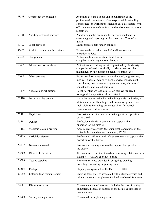| 53303 | Conferences/workshops            | Activities designed to aid and to contribute to the<br>professional competence of employees while attending<br>conferences or workshops Includes costs associated with<br>off-site meetings such as food, audio visual rentals, room<br>rentals, etc. |
|-------|----------------------------------|-------------------------------------------------------------------------------------------------------------------------------------------------------------------------------------------------------------------------------------------------------|
| 53401 | Auditing/actuarial services      | Auditor or public examiner for services rendered in<br>examining and reporting on the financial affairs of a<br>district                                                                                                                              |
| 53402 | Legal services                   | Legal professionals under contract                                                                                                                                                                                                                    |
| 53403 | Athletic trainer health services | Professionals providing health & wellness service<br>to student athletes                                                                                                                                                                              |
| 53404 | Compliance                       | Professionals under contract to determine<br>compliance with regulations, laws, etc.                                                                                                                                                                  |
| 53405 | Private pension advisors         | Professional consulting services provided by third-party<br>companies related specifically to private pension plans<br>maintained by the district on behalf of employees                                                                              |
| 53406 | Other services                   | Professional services such as architectural, engineering,<br>medical, financial advisory, bank service, management<br>consultants, insurance/casualty consultants, educational<br>consultants, and related services                                   |
| 53409 | Negotiations/arbitration         | Legal negotiations and arbitration services rendered<br>to support the operation of the district                                                                                                                                                      |
| 53410 | Police and fire details          | Activities concerned with maintaining order and safety at<br>all times in school buildings, and on school grounds and<br>their vicinity Including police activities for school<br>functions and traffic control                                       |
| 53411 | Physicians                       | Professional medical services that support the operation<br>of the district                                                                                                                                                                           |
| 53412 | Dentist                          | Professional dentistry services that support the<br>operation of the district                                                                                                                                                                         |
| 53414 | Medicaid claims provider         | Administrative services that support the operation of the<br>district's Medicaid claims function (UMASS)                                                                                                                                              |
| 53416 | Officials/referees               | Professional officials and referee services that support the<br>operation of the district                                                                                                                                                             |
| 53417 | Nurses-contracted                | Professional nursing services that support the operation of<br>the district                                                                                                                                                                           |
| 53502 | Other tech Services              | Technical services other than data processing related services<br>Examples: AESOP & School Spring                                                                                                                                                     |
| 53503 | Testing supplies                 | Technical services provided in designing, creating,<br>providing, evaluating or grading tests                                                                                                                                                         |
| 53505 | Postage                          | Shipping charges such as FedEx, DHL, USPS etc.                                                                                                                                                                                                        |
| 53706 | Catering food reimbursement      | Catering fees, charges associated with district activities and<br>reimbursements to employees for food purchased for events                                                                                                                           |
| 54201 | Disposal services                | Contractual disposal services Includes the cost of renting<br>dumpsters, disposal of hazardous chemicals, & disposal of<br>medical waste                                                                                                              |
| 54202 | Snow plowing services            | Contracted snow plowing services                                                                                                                                                                                                                      |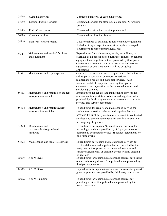| 54203 | Custodial services                                             | Contracted janitorial & custodial services                                                                                                                                                                                                                                                                  |
|-------|----------------------------------------------------------------|-------------------------------------------------------------------------------------------------------------------------------------------------------------------------------------------------------------------------------------------------------------------------------------------------------------|
| 54204 | Grounds keeping services                                       | Contracted services for cleaning, maintaining, & repairing<br>grounds                                                                                                                                                                                                                                       |
| 54205 | Rodent/pest control                                            | Contracted services for rodent & pest control                                                                                                                                                                                                                                                               |
| 54206 | Cleaning services                                              | Contracted services for cleaning                                                                                                                                                                                                                                                                            |
| 54310 | Non-tech Related repairs                                       | Cost for upkeep of buildings & non-technology equipment<br>Includes hiring a carpenter to repair or replace damaged<br>flooring or a roofer to repair a leaky roof                                                                                                                                          |
| 54311 | Maintenance and repairs/ furniture<br>and equipment            | Expenditures for maintenance, repair, recondition, or<br>overhaul of all school owned furniture, fixtures or general<br>equipment and supplies that are provided by third party<br>contractors pursuant to contracted services and service<br>agreements or one-time events with no on-going<br>obligations |
| 54312 | Maintenance and repairs/general                                | Contracted services and service agreements that authorize<br>a third party contractor or vendor to perform<br>maintenance, repair, and custodial services. Also<br>includes rental of equipment used by third party<br>contractors in conjunction with contracted service and<br>service agreements         |
| 54313 | Maintenance and repairs/non-student<br>transportation vehicles | Expenditures for repairs and maintenance services for<br>non-student transportation vehicles and supplies that are<br>provided by third party contractors pursuant to contracted<br>services and service agreements                                                                                         |
| 54314 | Maintenance and repairs/student<br>transportation vehicles     | Expenditures for repairs and maintenance service for<br>student transportation vehicles and supplies that are<br>provided by third party contractors pursuant to contracted<br>services and service agreements or one-time events with<br>no on-going obligations                                           |
| 54320 | Maintenance and<br>repairs/technology-related<br>hardware      | Expenditures for repairs & maintenance, services for<br>technology hardware provided by 3rd party contractors<br>pursuant to contracted services & service agreements or<br>one-time events                                                                                                                 |
| 54321 | Maintenance and repairs/electrical                             | Expenditures for repairs and maintenance services for<br>electrical devices and supplies that are provided by third<br>party contractors pursuant to contracted services and<br>services agreements, or onetime events with no ongoing<br>obligations                                                       |
| 54322 | R & M Hvac                                                     | Expenditures for repairs & maintenance services for heating<br>$\&$ air conditioning devises $\&$ supplies that are provided by<br>third party contractors                                                                                                                                                  |
| 54323 | R & M Glass                                                    | Expenditures for repairs $\&$ maintenance services for glass $\&$<br>glass supplies that are provided by third party contractors                                                                                                                                                                            |
| 54324 | R & M Plumbing                                                 | Expenditures for repairs & maintenance services for<br>plumbing services & supplies that are provided by third<br>party contractors                                                                                                                                                                         |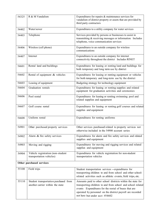| 54325                    | R & M Vandalism                                                           | Expenditures for repairs & maintenance services for<br>vandalism of district property or assets that are provided by<br>third party contractors                                                                                                                                    |
|--------------------------|---------------------------------------------------------------------------|------------------------------------------------------------------------------------------------------------------------------------------------------------------------------------------------------------------------------------------------------------------------------------|
| 54402                    | Water/sewer                                                               | Expenditures to a utility company for water services                                                                                                                                                                                                                               |
| 54403                    | Telephone                                                                 | Services provided by persons or businesses to assist in<br>transmitting & receiving messages or information Includes<br>telephone, voice communication services                                                                                                                    |
| 54406                    | Wireless (cell phone)                                                     | Expenditures to an outside company for wireless<br>communications                                                                                                                                                                                                                  |
| 54407                    | Internet                                                                  | Expenditures to an outside company for internet<br>connectivity throughout the district Includes RINET                                                                                                                                                                             |
| 54601                    | Rental land and buildings                                                 | Expenditures for leasing or renting land and buildings for<br>both temporary and long term use by district                                                                                                                                                                         |
| 54602                    | Rental of equipment & vehicles                                            | Expenditures for leasing or renting equipment or vehicles<br>for both temporary and long-term use by the district                                                                                                                                                                  |
| 54603                    | Leasing of equipment                                                      | Budgeting strategy for technology equipment                                                                                                                                                                                                                                        |
| 54604                    | Graduation rentals                                                        | Expenditures for leasing or renting supplies and related<br>equipment for graduation activities and ceremonies                                                                                                                                                                     |
| 54606                    | Pool rental                                                               | Expenditures for leasing or renting swimming pool and<br>related supplies and equipment                                                                                                                                                                                            |
| 54607                    | Golf course rental                                                        | Expenditures for leasing or renting golf courses and related<br>supplies and equipment                                                                                                                                                                                             |
| 54608                    | Uniform rental                                                            | Expenditures for renting uniforms                                                                                                                                                                                                                                                  |
| 54901                    | Other purchased property services                                         | Other services purchased related to property services not<br>otherwise included in the 54900 account series                                                                                                                                                                        |
| 54902                    | Alarm & fire safety services                                              | Expenditures for alarm and fire safety services and related<br>supplies and equipment                                                                                                                                                                                              |
| 54903                    | Moving and rigging                                                        | Expenditures for moving and rigging services and related<br>supplies and equipment                                                                                                                                                                                                 |
| 54904                    | Vehicle registration (non-student<br>transportation vehicles)             | Expenditures for vehicle registration for non-student<br>transportation vehicles                                                                                                                                                                                                   |
| Other purchased services |                                                                           |                                                                                                                                                                                                                                                                                    |
| 55100                    | Field trips                                                               | Student transportation services - expenditures for<br>transporting children to and from school and other school-<br>related activities such as athletic events, field trips, etc.                                                                                                  |
| 55110                    | Student transportation purchased from<br>another carrier within the state | Amounts paid to other school districts within the state for<br>transporting children to and from school and school related<br>events Expenditures for the rental of buses that are<br>operated by personnel on the district payroll are recorded<br>not here but under acct #54602 |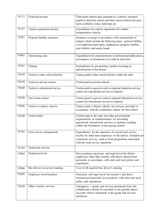| 55111 | Field trip account                | Third party entities that, pursuant to a contract, transport<br>pupils to and from school and other school related activities,<br>such as athletic events, field trips etc.                                                   |
|-------|-----------------------------------|-------------------------------------------------------------------------------------------------------------------------------------------------------------------------------------------------------------------------------|
| 55121 | Vehicle registration (buses)      | Expenditures for vehicle registration for student<br>transportation vehicles                                                                                                                                                  |
| 55201 | Property/liability insurance      | Insurance coverage in accordance with requirements of<br>statutes which include the following types: general liability,<br>civil rights/personal injury, malpractice, property liability,<br>auto liability, and surety bonds |
| 55401 | Advertising costs                 | Expenditures for announcements in professional publications,<br>newspapers, or broadcasts over radio & television                                                                                                             |
| 55501 | Printing                          | Expenditures for job printing, usually according to<br>specifications of the district                                                                                                                                         |
| 55610 | Tuition to other school districts | Tuition paid to other school districts within the state                                                                                                                                                                       |
| 55630 | Tuition to private sources        | Tuition paid to private schools                                                                                                                                                                                               |
| 55640 | Tuition to educational service    | Tuition paid to agencies such as regional education service<br>centers for educational services to students                                                                                                                   |
| 55650 | Out of state tuition              | Tuition paid to agencies such as regional educational service<br>centers for educational services to students                                                                                                                 |
| 55660 | Tuition to charter schools        | Tuition paid to charter schools for services provided in<br>accordance with the established charter for that school                                                                                                           |
| 55690 | Tuition/other                     | Tuition paid to the state and other governmental<br>organizations as reimbursement for providing<br>specialized instructional services to students residing<br>within the boundaries of the paying district                   |
| 55701 | Food service management           | Expenditures for the operation of a local food service<br>facility by other than employees of the district Included are<br>contracted services, such as food preparation, associated<br>with the food service operation       |
| 55705 | Inspection services               |                                                                                                                                                                                                                               |
| 55803 | Employee travel                   | Non-teachers-necessary and legal travel for district<br>employees other than teachers and direct instructional<br>personnel in accordance with state and local policy and<br>regulations                                      |
| 55806 | Bus drivers in-service training   | Cost of all required bus driver's training                                                                                                                                                                                    |
| 55809 | Employee travel/teachers          | Necessary and legal travel for teacher's and direct<br>instructional personnel in accordance with state and local<br>policy and regulations                                                                                   |
| 55930 | Other contract services           | Interagency - goods and services purchased from the<br>collaborative should be recorded in the specific object<br>accounts which correspond to the goods and services<br>purchases                                            |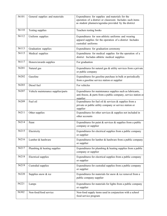| 56101 | General supplies and materials     | Expenditures for supplies and materials for the<br>operation of a district or classroom Includes such items<br>as student planners/agendas provided by the district |
|-------|------------------------------------|---------------------------------------------------------------------------------------------------------------------------------------------------------------------|
| 56110 | Testing supplies                   | Teachers testing books                                                                                                                                              |
| 56112 | Uniform supplies                   | Expenditures for non-athletic uniforms and wearing<br>apparel supplies for the operation of a district Includes<br>custodial uniforms                               |
| 56113 | Graduation supplies                | Expenditures for graduation ceremony                                                                                                                                |
| 56115 | Medical supplies                   | Expenditures for medical supplies for the operation of a<br>district Includes athletic medical supplies                                                             |
| 56117 | Honors/awards supplies             | For graduation                                                                                                                                                      |
| 56201 | Natural gas                        | Expenditures for natural gas & utility services from a private<br>or public company                                                                                 |
| 56202 | Gasoline                           | Expenditures for gasoline purchase in bulk or periodically<br>from a gasoline service station or supplier                                                           |
| 56203 | Diesel fuel                        | For vehicles                                                                                                                                                        |
| 56207 | Vehicle maintenance supplies/parts | Expenditures for maintenance supplies such as lubricants,<br>anti-freeze, & parts from a public company, service station or<br>supplier                             |
| 56209 | Fuel oil                           | Expenditures for fuel oil $&$ services $&$ supplies from a<br>private or public utility company or service station or<br>supplier                                   |
| 56211 | Other supplies                     | Expenditures for other services & supplies not included in<br>other accounts                                                                                        |
| 56214 | Paint                              | Expenditures for paint $&$ services $&$ supplies from a public<br>company or supplier                                                                               |
| 56215 | Electricity                        | Expenditures for electrical supplies from a public company<br>or supplier                                                                                           |
| 56216 | Lumber & hardware                  | Expenditures for lumber $&$ hardware from a public company<br>or supplier                                                                                           |
| 56217 | Plumbing & heating supplies        | Expenditures for plumbing $&$ heating supplies from a public<br>company or supplier                                                                                 |
| 56218 | <b>Electrical</b> supplies         | Expenditures for electrical supplies from a public company<br>or supplier                                                                                           |
| 56219 | Custodial supplies                 | Expenditures for custodial supplies from a public company<br>or supplier                                                                                            |
| 56220 | Supplies snow & ice                | Expenditures for materials for snow $&$ ice removal from a<br>public company supplier                                                                               |
| 56221 | Lamps                              | Expenditures for materials for lights from a public company<br>or supplier                                                                                          |
| 56302 | Non-food/food service              | Non-food supply items used in conjunction with a school<br>food service program                                                                                     |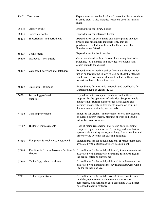| 56401 | Text books                                            | Expenditures for textbooks & workbooks for district students<br>in grade prek-12 also includes textbooks used for summer<br>school                                                                                                                                    |
|-------|-------------------------------------------------------|-----------------------------------------------------------------------------------------------------------------------------------------------------------------------------------------------------------------------------------------------------------------------|
| 56402 | Library books                                         | Expenditures for library books                                                                                                                                                                                                                                        |
| 56403 | Reference books                                       | Expenditures for reference books                                                                                                                                                                                                                                      |
| 56404 | Subscriptions and periodicals                         | Expenditures for periodicals and subscriptions Includes<br>printed and hard media materials only that are<br>purchased Excludes web-based software used by<br>libraries – use $56407$                                                                                 |
| 56405 | Book repairs                                          | Expenditures for book repairs                                                                                                                                                                                                                                         |
| 56406 | Textbooks - non public                                | Costs associated with textbooks that are required to be<br>purchased by a district and provided to students and<br>others outside the district                                                                                                                        |
| 56407 | Web-based software and databases                      | Expenditures for web-based software and databases for<br>use in or through the library related to student or teacher<br>would use This account does not include software used<br>to perform basic library functions                                                   |
| 56409 | <b>Electronic Textbooks</b>                           | Expenditures for electronic textbooks and workbooks for<br>District students in grades PK-12.                                                                                                                                                                         |
| 56501 | Technology-related<br>Supplies                        | Expenditures for computer hardware and software<br>supplies for the operation of a district Supplies would<br>include small storage devices such as diskettes and<br>memory sticks, cables, keyboards, mouse or pointing<br>devices, monitor stands, mouse pads, etc. |
| 57102 | Land improvements                                     | Expenses for original improvement or total replacement<br>of surface improvements, planting of trees and shrubs,<br>sidewalks, roadways, etc.                                                                                                                         |
| 57202 | Building improvements                                 | Cost of major remodeling and related costs including<br>complete replacement of roofs, heating and ventilation<br>systems, electrical systems, plumbing, fire protection and<br>other service systems for existing buildings                                          |
| 57305 | Equipment & machinery, playground                     | Expenditures for the initial, additional $&$ replacement costs<br>associated with district machinery & equipment                                                                                                                                                      |
| 57306 | Furniture & fixture-classroom furniture &<br>fixtures | Expenditures for the initial, additional, & replacement cost<br>associated with district office furniture & fixtures used in<br>the central office & classrooms                                                                                                       |
| 57309 | Technology related hardware                           | Expenditures for the initial, additional $&$ replacement cost<br>associated with district technology related hardware with a<br>life longer than one year                                                                                                             |
| 57311 | Technology software                                   | Expenditures for the initial costs, additional cost for new<br>modules, replacement, maintenance and/or support<br>agreements, & modification costs associated with district<br>purchased tangible software                                                           |